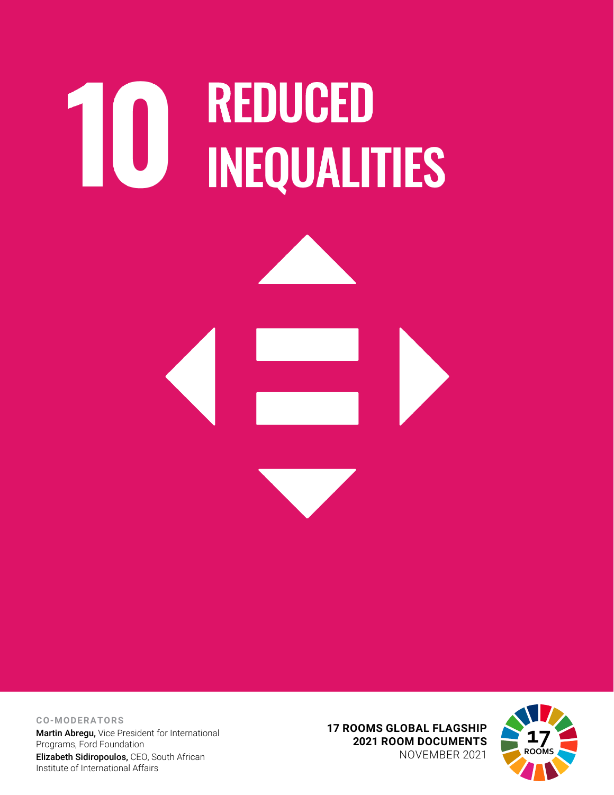# **10 REDUCED<br>INEQUALITIES**



**CO-MODERATORS** Martin Abregu, Vice President for International Programs, Ford Foundation Elizabeth Sidiropoulos, CEO, South African Institute of International Affairs

**17 ROOMS GLOBAL FLAGSHIP 2021 ROOM DOCUMENTS** NOVEMBER 2021

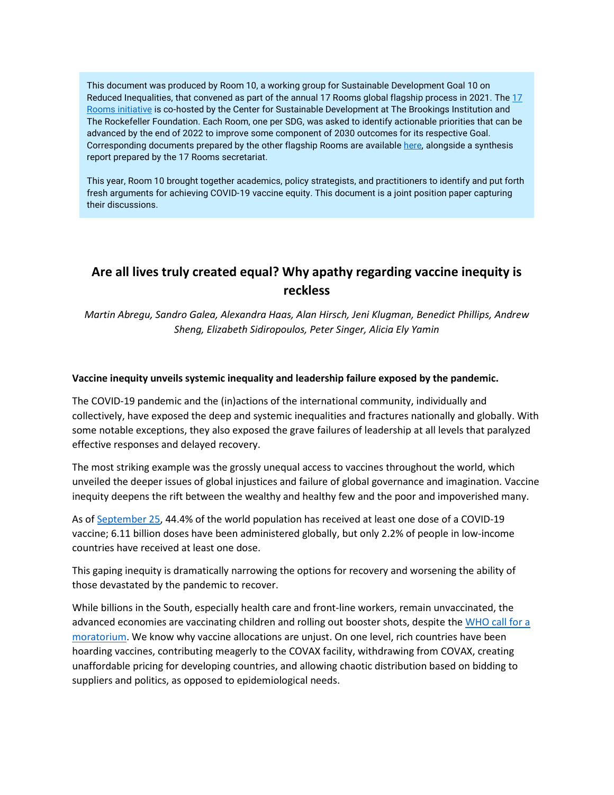This document was produced by Room 10, a working group for Sustainable Development Goal 10 on Reduced Inequalities, that convened as part of the annual 17 Rooms global flagship process in 2021. The [17](https://www.brookings.edu/project/17-rooms/)  [Rooms initiative](https://www.brookings.edu/project/17-rooms/) is co-hosted by the Center for Sustainable Development at The Brookings Institution and The Rockefeller Foundation. Each Room, one per SDG, was asked to identify actionable priorities that can be advanced by the end of 2022 to improve some component of 2030 outcomes for its respective Goal. Corresponding documents prepared by the other flagship Rooms are availabl[e here,](http://www.brookings.edu/17rooms2021) alongside a synthesis report prepared by the 17 Rooms secretariat.

This year, Room 10 brought together academics, policy strategists, and practitioners to identify and put forth fresh arguments for achieving COVID-19 vaccine equity. This document is a joint position paper capturing their discussions.

# **Are all lives truly created equal? Why apathy regarding vaccine inequity is reckless**

*Martin Abregu, Sandro Galea, Alexandra Haas, Alan Hirsch, Jeni Klugman, Benedict Phillips, Andrew Sheng, Elizabeth Sidiropoulos, Peter Singer, Alicia Ely Yamin*

### **Vaccine inequity unveils systemic inequality and leadership failure exposed by the pandemic.**

The COVID-19 pandemic and the (in)actions of the international community, individually and collectively, have exposed the deep and systemic inequalities and fractures nationally and globally. With some notable exceptions, they also exposed the grave failures of leadership at all levels that paralyzed effective responses and delayed recovery.

The most striking example was the grossly unequal access to vaccines throughout the world, which unveiled the deeper issues of global injustices and failure of global governance and imagination. Vaccine inequity deepens the rift between the wealthy and healthy few and the poor and impoverished many.

As of [September 25,](https://ourworldindata.org/covid-vaccinations) 44.4% of the world population has received at least one dose of a COVID-19 vaccine; 6.11 billion doses have been administered globally, but only 2.2% of people in low-income countries have received at least one dose.

This gaping inequity is dramatically narrowing the options for recovery and worsening the ability of those devastated by the pandemic to recover.

While billions in the South, especially health care and front-line workers, remain unvaccinated, the advanced economies are vaccinating children and rolling out booster shots, despite the [WHO call for a](https://news.un.org/en/story/2021/08/1097102)  [moratorium.](https://news.un.org/en/story/2021/08/1097102) We know why vaccine allocations are unjust. On one level, rich countries have been hoarding vaccines, contributing meagerly to the COVAX facility, withdrawing from COVAX, creating unaffordable pricing for developing countries, and allowing chaotic distribution based on bidding to suppliers and politics, as opposed to epidemiological needs.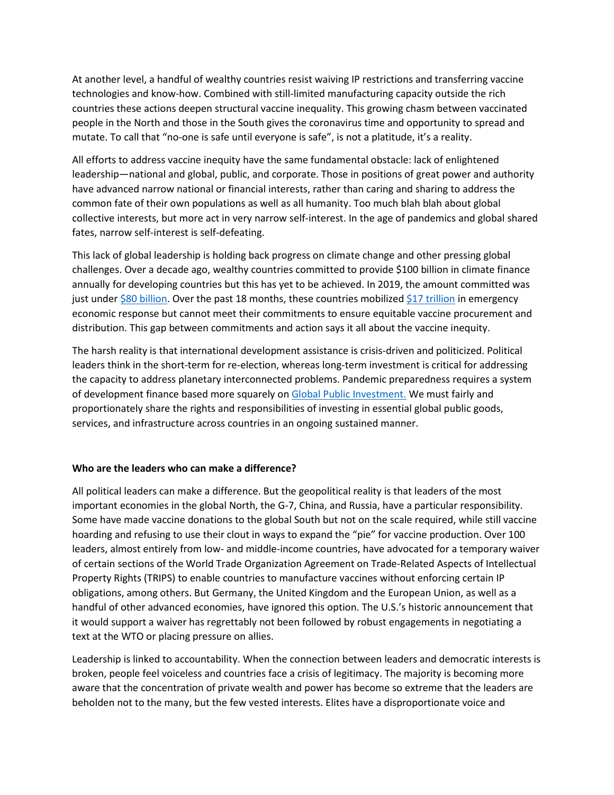At another level, a handful of wealthy countries resist waiving IP restrictions and transferring vaccine technologies and know-how. Combined with still-limited manufacturing capacity outside the rich countries these actions deepen structural vaccine inequality. This growing chasm between vaccinated people in the North and those in the South gives the coronavirus time and opportunity to spread and mutate. To call that "no-one is safe until everyone is safe", is not a platitude, it's a reality.

All efforts to address vaccine inequity have the same fundamental obstacle: lack of enlightened leadership—national and global, public, and corporate. Those in positions of great power and authority have advanced narrow national or financial interests, rather than caring and sharing to address the common fate of their own populations as well as all humanity. Too much blah blah about global collective interests, but more act in very narrow self-interest. In the age of pandemics and global shared fates, narrow self-interest is self-defeating.

This lack of global leadership is holding back progress on climate change and other pressing global challenges. Over a decade ago, wealthy countries committed to provide \$100 billion in climate finance annually for developing countries but this has yet to be achieved. In 2019, the amount committed was just under \$80 [billion.](https://www.oecd.org/newsroom/statement-from-oecd-secretary-general-mathias-cormann-on-climate-finance-in-2019.htm) Over the past 18 months, these countries mobilized \$17 [trillion](https://www.imf.org/en/Topics/imf-and-covid19/Fiscal-Policies-Database-in-Response-to-COVID-19) in emergency economic response but cannot meet their commitments to ensure equitable vaccine procurement and distribution. This gap between commitments and action says it all about the vaccine inequity.

The harsh reality is that international development assistance is crisis-driven and politicized. Political leaders think in the short-term for re-election, whereas long-term investment is critical for addressing the capacity to address planetary interconnected problems. Pandemic preparedness requires a system of development finance based more squarely on [Global Public Investment.](https://oecd-development-matters.org/2020/06/24/why-we-need-global-public-investment-after-covid-19/) We must fairly and proportionately share the rights and responsibilities of investing in essential global public goods, services, and infrastructure across countries in an ongoing sustained manner.

### **Who are the leaders who can make a difference?**

All political leaders can make a difference. But the geopolitical reality is that leaders of the most important economies in the global North, the G-7, China, and Russia, have a particular responsibility. Some have made vaccine donations to the global South but not on the scale required, while still vaccine hoarding and refusing to use their clout in ways to expand the "pie" for vaccine production. Over 100 leaders, almost entirely from low- and middle-income countries, have advocated for a temporary waiver of certain sections of the World Trade Organization Agreement on Trade-Related Aspects of Intellectual Property Rights (TRIPS) to enable countries to manufacture vaccines without enforcing certain IP obligations, among others. But Germany, the United Kingdom and the European Union, as well as a handful of other advanced economies, have ignored this option. The U.S.'s historic announcement that it would support a waiver has regrettably not been followed by robust engagements in negotiating a text at the WTO or placing pressure on allies.

Leadership is linked to accountability. When the connection between leaders and democratic interests is broken, people feel voiceless and countries face a crisis of legitimacy. The majority is becoming more aware that the concentration of private wealth and power has become so extreme that the leaders are beholden not to the many, but the few vested interests. Elites have a disproportionate voice and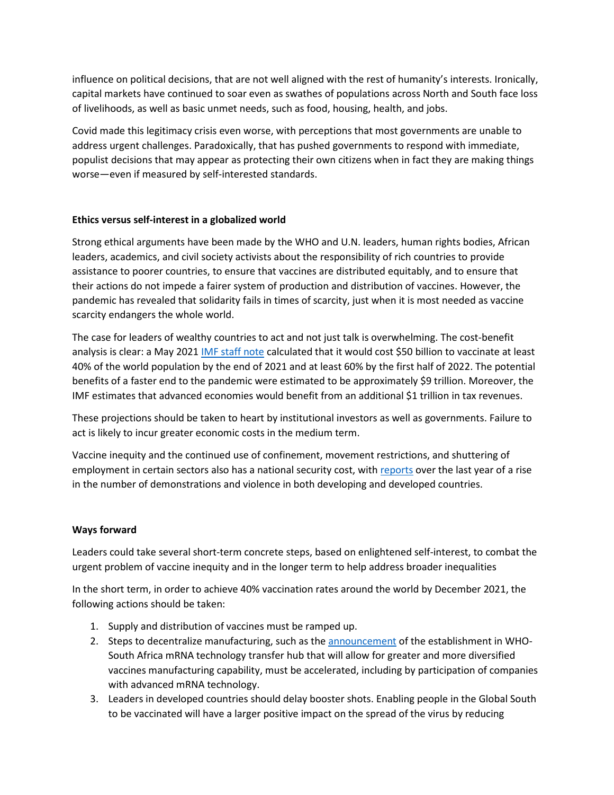influence on political decisions, that are not well aligned with the rest of humanity's interests. Ironically, capital markets have continued to soar even as swathes of populations across North and South face loss of livelihoods, as well as basic unmet needs, such as food, housing, health, and jobs.

Covid made this legitimacy crisis even worse, with perceptions that most governments are unable to address urgent challenges. Paradoxically, that has pushed governments to respond with immediate, populist decisions that may appear as protecting their own citizens when in fact they are making things worse—even if measured by self-interested standards.

### **Ethics versus self-interest in a globalized world**

Strong ethical arguments have been made by the WHO and U.N. leaders, human rights bodies, African leaders, academics, and civil society activists about the responsibility of rich countries to provide assistance to poorer countries, to ensure that vaccines are distributed equitably, and to ensure that their actions do not impede a fairer system of production and distribution of vaccines. However, the pandemic has revealed that solidarity fails in times of scarcity, just when it is most needed as vaccine scarcity endangers the whole world.

The case for leaders of wealthy countries to act and not just talk is overwhelming. The cost-benefit analysis is clear: a May 2021 [IMF staff note](https://www.imf.org/en/Publications/Staff-Discussion-Notes/Issues/2021/05/19/A-Proposal-to-End-the-COVID-19-Pandemic-460263) calculated that it would cost \$50 billion to vaccinate at least 40% of the world population by the end of 2021 and at least 60% by the first half of 2022. The potential benefits of a faster end to the pandemic were estimated to be approximately \$9 trillion. Moreover, the IMF estimates that advanced economies would benefit from an additional \$1 trillion in tax revenues.

These projections should be taken to heart by institutional investors as well as governments. Failure to act is likely to incur greater economic costs in the medium term.

Vaccine inequity and the continued use of confinement, movement restrictions, and shuttering of employment in certain sectors also has a national security cost, with [reports](https://acleddata.com/2021/04/01/a-year-of-covid-19-the-pandemics-impact-on-global-conflict-and-demonstration-trends/) over the last year of a rise in the number of demonstrations and violence in both developing and developed countries.

## **Ways forward**

Leaders could take several short-term concrete steps, based on enlightened self-interest, to combat the urgent problem of vaccine inequity and in the longer term to help address broader inequalities

In the short term, in order to achieve 40% vaccination rates around the world by December 2021, the following actions should be taken:

- 1. Supply and distribution of vaccines must be ramped up.
- 2. Steps to decentralize manufacturing, such as th[e announcement](https://www.who.int/news/item/21-06-2021-who-supporting-south-african-consortium-to-establish-first-covid-mrna-vaccine-technology-transfer-hub) of the establishment in WHO-South Africa mRNA technology transfer hub that will allow for greater and more diversified vaccines manufacturing capability, must be accelerated, including by participation of companies with advanced mRNA technology.
- 3. Leaders in developed countries should delay booster shots. Enabling people in the Global South to be vaccinated will have a larger positive impact on the spread of the virus by reducing